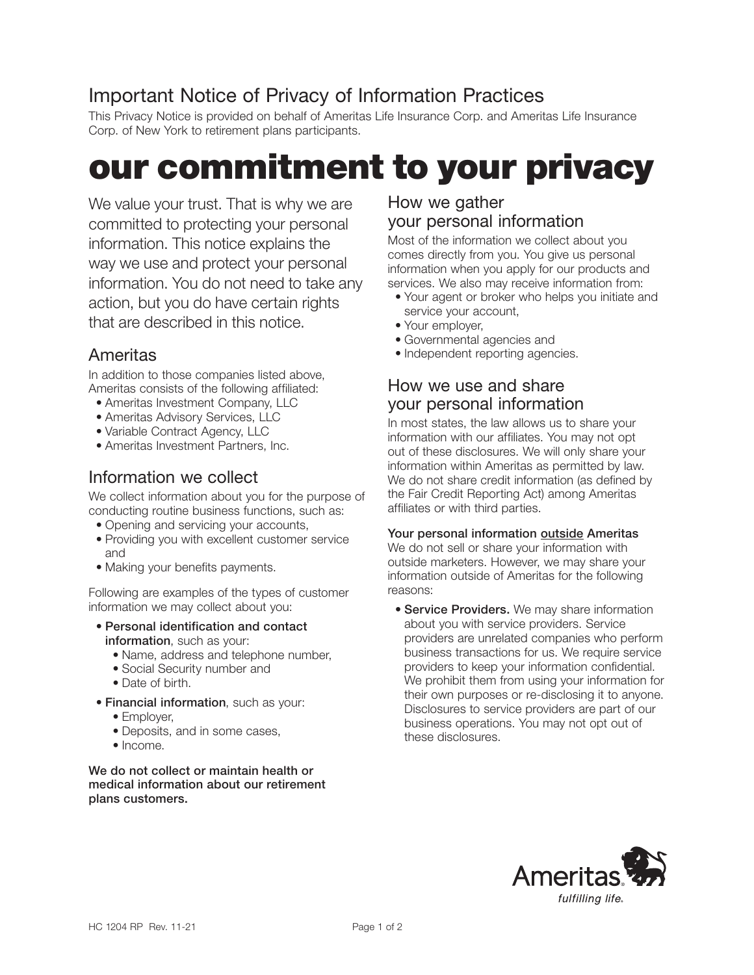## Important Notice of Privacy of Information Practices

This Privacy Notice is provided on behalf of Ameritas Life Insurance Corp. and Ameritas Life Insurance Corp. of New York to retirement plans participants.

# our commitment to your privacy

We value your trust. That is why we are committed to protecting your personal information. This notice explains the way we use and protect your personal information. You do not need to take any action, but you do have certain rights that are described in this notice.

## Ameritas

In addition to those companies listed above, Ameritas consists of the following affiliated:

- Ameritas Investment Company, LLC
- Ameritas Advisory Services, LLC
- Variable Contract Agency, LLC
- Ameritas Investment Partners, Inc.

#### Information we collect

We collect information about you for the purpose of conducting routine business functions, such as:

- Opening and servicing your accounts,
- Providing you with excellent customer service and
- Making your benefits payments.

Following are examples of the types of customer information we may collect about you:

- Personal identification and contact information, such as your:
	- Name, address and telephone number,
	- Social Security number and
	- Date of birth.
- Financial information, such as your:
	- Employer,
	- Deposits, and in some cases,
	- Income.

#### We do not collect or maintain health or medical information about our retirement plans customers.

#### How we gather your personal information

Most of the information we collect about you comes directly from you. You give us personal information when you apply for our products and services. We also may receive information from:

- Your agent or broker who helps you initiate and service your account,
- Your employer,
- Governmental agencies and
- Independent reporting agencies.

#### How we use and share your personal information

In most states, the law allows us to share your information with our affiliates. You may not opt out of these disclosures. We will only share your information within Ameritas as permitted by law. We do not share credit information (as defined by the Fair Credit Reporting Act) among Ameritas affiliates or with third parties.

#### Your personal information outside Ameritas

We do not sell or share your information with outside marketers. However, we may share your information outside of Ameritas for the following reasons:

**• Service Providers.** We may share information about you with service providers. Service providers are unrelated companies who perform business transactions for us. We require service providers to keep your information confidential. We prohibit them from using your information for their own purposes or re-disclosing it to anyone. Disclosures to service providers are part of our business operations. You may not opt out of these disclosures.